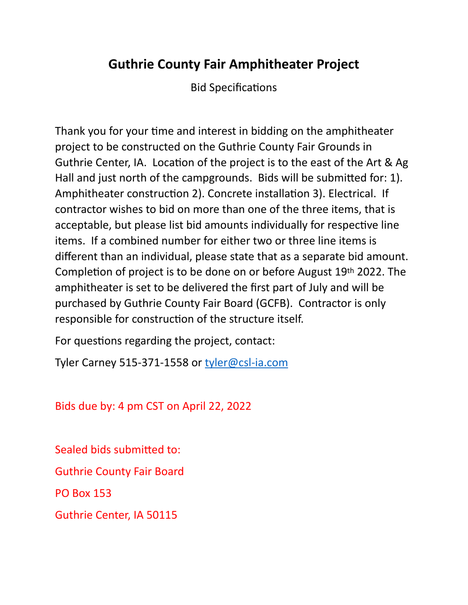# **Guthrie County Fair Amphitheater Project**

Bid Specifications

Thank you for your time and interest in bidding on the amphitheater project to be constructed on the Guthrie County Fair Grounds in Guthrie Center, IA. Location of the project is to the east of the Art & Ag Hall and just north of the campgrounds. Bids will be submitted for: 1). Amphitheater construction 2). Concrete installation 3). Electrical. If contractor wishes to bid on more than one of the three items, that is acceptable, but please list bid amounts individually for respective line items. If a combined number for either two or three line items is different than an individual, please state that as a separate bid amount. Completion of project is to be done on or before August 19th 2022. The amphitheater is set to be delivered the first part of July and will be purchased by Guthrie County Fair Board (GCFB). Contractor is only responsible for construction of the structure itself.

For questions regarding the project, contact:

Tyler Carney 515-371-1558 or tyler@csl-ia.com

Bids due by: 4 pm CST on April 22, 2022

Sealed bids submitted to:

**Guthrie County Fair Board** 

PO Box 153

Guthrie Center, IA 50115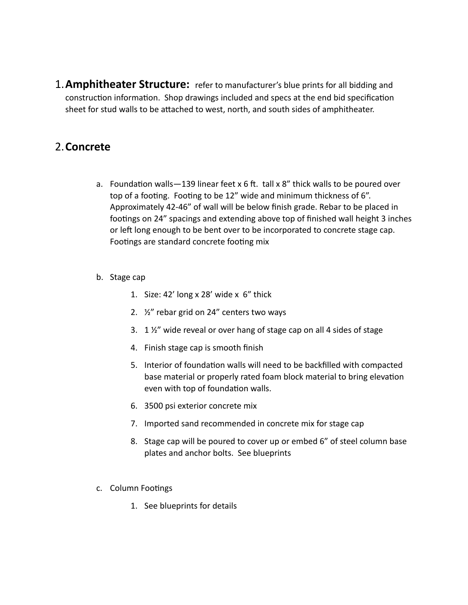**1. Amphitheater Structure:** refer to manufacturer's blue prints for all bidding and construction information. Shop drawings included and specs at the end bid specification sheet for stud walls to be attached to west, north, and south sides of amphitheater.

## 2.**Concrete**

- a. Foundation walls  $-139$  linear feet x 6 ft. tall x 8" thick walls to be poured over top of a footing. Footing to be 12" wide and minimum thickness of 6". Approximately 42-46" of wall will be below finish grade. Rebar to be placed in footings on 24" spacings and extending above top of finished wall height 3 inches or left long enough to be bent over to be incorporated to concrete stage cap. Footings are standard concrete footing mix
- b. Stage cap
	- 1. Size:  $42'$  long x 28' wide x  $6''$  thick
	- 2.  $\frac{1}{2}$  rebar grid on 24" centers two ways
	- 3.  $1\frac{1}{2}$  wide reveal or over hang of stage cap on all 4 sides of stage
	- 4. Finish stage cap is smooth finish
	- 5. Interior of foundation walls will need to be backfilled with compacted base material or properly rated foam block material to bring elevation even with top of foundation walls.
	- 6. 3500 psi exterior concrete mix
	- 7. Imported sand recommended in concrete mix for stage cap
	- 8. Stage cap will be poured to cover up or embed 6" of steel column base plates and anchor bolts. See blueprints
- c. Column Footings
	- 1. See blueprints for details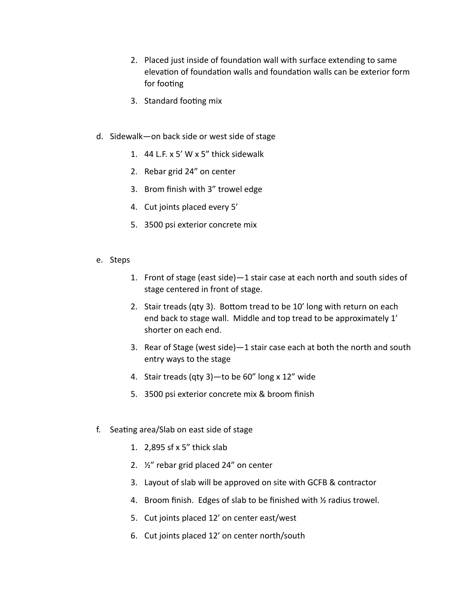- 2. Placed just inside of foundation wall with surface extending to same elevation of foundation walls and foundation walls can be exterior form for footing
- 3. Standard footing mix
- d. Sidewalk-on back side or west side of stage
	- 1.  $44$  L.F. x 5' W x 5" thick sidewalk
	- 2. Rebar grid 24" on center
	- 3. Brom finish with 3" trowel edge
	- 4. Cut joints placed every 5'
	- 5. 3500 psi exterior concrete mix
- e. Steps
	- 1. Front of stage (east side)-1 stair case at each north and south sides of stage centered in front of stage.
	- 2. Stair treads (qty 3). Bottom tread to be 10' long with return on each end back to stage wall. Middle and top tread to be approximately 1' shorter on each end.
	- 3. Rear of Stage (west side)—1 stair case each at both the north and south entry ways to the stage
	- 4. Stair treads (qty 3)—to be  $60''$  long x 12" wide
	- 5. 3500 psi exterior concrete mix & broom finish
- f. Seating area/Slab on east side of stage
	- 1.  $2.895$  sf x 5" thick slab
	- 2.  $\frac{1}{2}$  rebar grid placed 24" on center
	- 3. Layout of slab will be approved on site with GCFB & contractor
	- 4. Broom finish. Edges of slab to be finished with  $\frac{1}{2}$  radius trowel.
	- 5. Cut joints placed 12' on center east/west
	- 6. Cut joints placed 12' on center north/south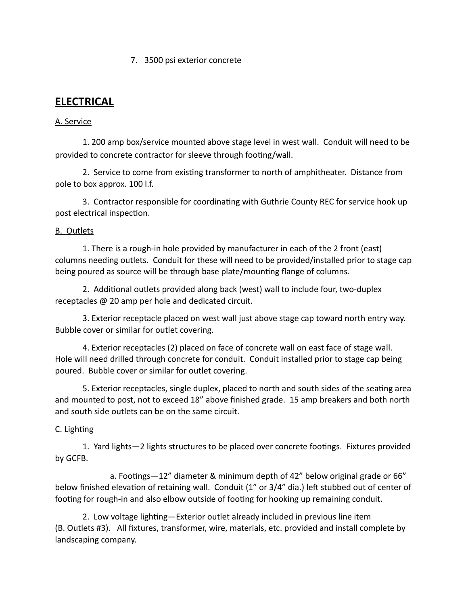#### 7. 3500 psi exterior concrete

## **ELECTRICAL**

### A. Service

1. 200 amp box/service mounted above stage level in west wall. Conduit will need to be provided to concrete contractor for sleeve through footing/wall.

2. Service to come from existing transformer to north of amphitheater. Distance from pole to box approx. 100 l.f.

3. Contractor responsible for coordinating with Guthrie County REC for service hook up post electrical inspection.

#### **B.** Outlets

1. There is a rough-in hole provided by manufacturer in each of the 2 front (east) columns needing outlets. Conduit for these will need to be provided/installed prior to stage cap being poured as source will be through base plate/mounting flange of columns.

2. Additional outlets provided along back (west) wall to include four, two-duplex receptacles  $@$  20 amp per hole and dedicated circuit.

3. Exterior receptacle placed on west wall just above stage cap toward north entry way. Bubble cover or similar for outlet covering.

4. Exterior receptacles (2) placed on face of concrete wall on east face of stage wall. Hole will need drilled through concrete for conduit. Conduit installed prior to stage cap being poured. Bubble cover or similar for outlet covering.

5. Exterior receptacles, single duplex, placed to north and south sides of the seating area and mounted to post, not to exceed 18" above finished grade. 15 amp breakers and both north and south side outlets can be on the same circuit.

#### C. Lighting

1. Yard lights-2 lights structures to be placed over concrete footings. Fixtures provided by GCFB.

a. Footings—12" diameter & minimum depth of 42" below original grade or 66" below finished elevation of retaining wall. Conduit (1" or 3/4" dia.) left stubbed out of center of footing for rough-in and also elbow outside of footing for hooking up remaining conduit.

2. Low voltage lighting-Exterior outlet already included in previous line item (B. Outlets #3). All fixtures, transformer, wire, materials, etc. provided and install complete by landscaping company.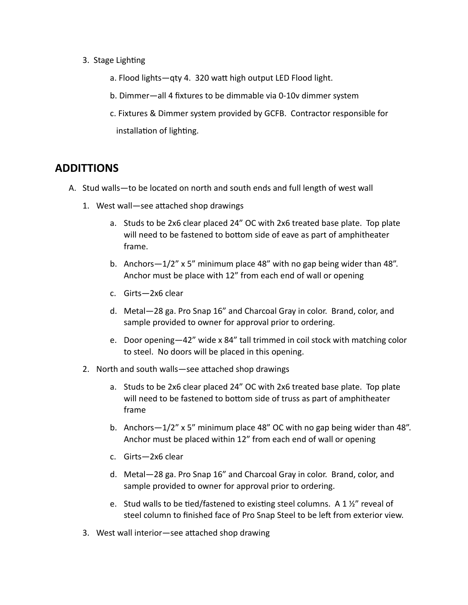- 3. Stage Lighting
	- a. Flood lights—qty 4. 320 watt high output LED Flood light.
	- b. Dimmer—all 4 fixtures to be dimmable via 0-10v dimmer system
	- c. Fixtures & Dimmer system provided by GCFB. Contractor responsible for installation of lighting.

## **ADDITTIONS**

- A. Stud walls—to be located on north and south ends and full length of west wall
	- 1. West wall—see attached shop drawings
		- a. Studs to be 2x6 clear placed 24" OC with 2x6 treated base plate. Top plate will need to be fastened to bottom side of eave as part of amphitheater frame.
		- b. Anchors $-1/2$ " x 5" minimum place 48" with no gap being wider than 48". Anchor must be place with 12" from each end of wall or opening
		- c. Girts—2x6 clear
		- d. Metal-28 ga. Pro Snap 16" and Charcoal Gray in color. Brand, color, and sample provided to owner for approval prior to ordering.
		- e. Door opening-42" wide x 84" tall trimmed in coil stock with matching color to steel. No doors will be placed in this opening.
	- 2. North and south walls-see attached shop drawings
		- a. Studs to be 2x6 clear placed 24" OC with 2x6 treated base plate. Top plate will need to be fastened to bottom side of truss as part of amphitheater frame
		- b. Anchors $-1/2$ " x 5" minimum place 48" OC with no gap being wider than 48". Anchor must be placed within 12" from each end of wall or opening
		- c. Girts-2x6 clear
		- d. Metal-28 ga. Pro Snap 16" and Charcoal Gray in color. Brand, color, and sample provided to owner for approval prior to ordering.
		- e. Stud walls to be tied/fastened to existing steel columns. A 1 $\frac{1}{2}$ " reveal of steel column to finished face of Pro Snap Steel to be left from exterior view.
	- 3. West wall interior—see attached shop drawing